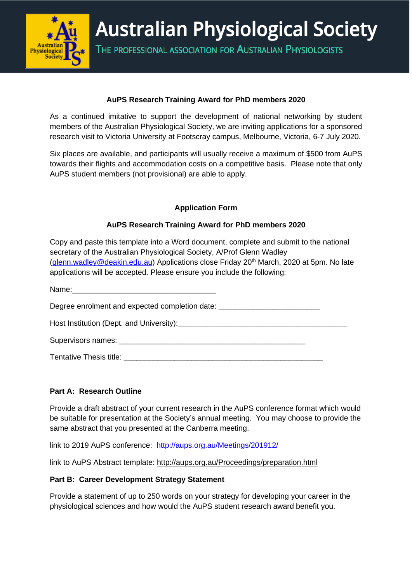

**Australian Physiological Society** 

THE PROFESSIONAL ASSOCIATION FOR AUSTRALIAN PHYSIOLOGISTS

## **AuPS Research Training Award for PhD members 2020**

As a continued imitative to support the development of national networking by student members of the Australian Physiological Society, we are inviting applications for a sponsored research visit to Victoria University at Footscray campus, Melbourne, Victoria, 6-7 July 2020.

Six places are available, and participants will usually receive a maximum of \$500 from AuPS towards their flights and accommodation costs on a competitive basis. Please note that only AuPS student members (not provisional) are able to apply.

## **Application Form**

# **AuPS Research Training Award for PhD members 2020**

Copy and paste this template into a Word document, complete and submit to the national secretary of the Australian Physiological Society, A/Prof Glenn Wadley [\(glenn.wadley@deakin.edu.au\)](mailto:glenn.wadley@deakin.edu.au) Applications close Friday  $20<sup>th</sup>$  March, 2020 at 5pm. No late applications will be accepted. Please ensure you include the following:

Degree enrolment and expected completion date: \_\_\_\_\_\_\_\_\_\_\_\_\_\_\_\_\_\_\_\_\_\_\_\_\_\_\_\_\_\_\_\_\_

Host Institution (Dept. and University):

Supervisors names: \_\_\_\_\_\_\_\_\_\_\_\_\_\_\_\_\_\_\_\_\_\_\_\_\_\_\_\_\_\_\_\_\_\_\_\_\_\_\_\_\_\_\_\_

Tentative Thesis title: **Example 10** and the set of the set of the set of the set of the set of the set of the set of the set of the set of the set of the set of the set of the set of the set of the set of the set of the s

## **Part A: Research Outline**

Name:

Provide a draft abstract of your current research in the AuPS conference format which would be suitable for presentation at the Society's annual meeting. You may choose to provide the same abstract that you presented at the Canberra meeting.

link to 2019 AuPS conference: <http://aups.org.au/Meetings/201912/>

link to AuPS Abstract template: <http://aups.org.au/Proceedings/preparation.html>

## **Part B: Career Development Strategy Statement**

Provide a statement of up to 250 words on your strategy for developing your career in the physiological sciences and how would the AuPS student research award benefit you.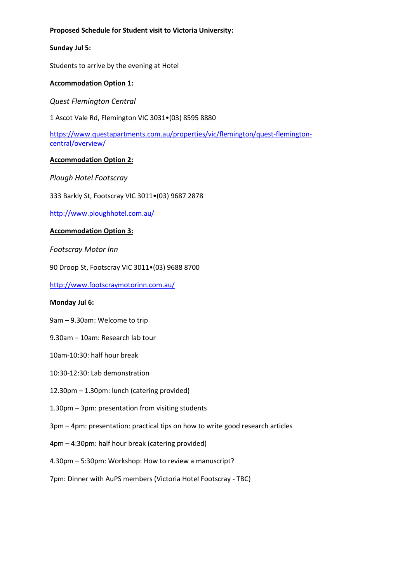#### **Proposed Schedule for Student visit to Victoria University:**

#### **Sunday Jul 5:**

Students to arrive by the evening at Hotel

### **Accommodation Option 1:**

*Quest Flemington Central*

1 Ascot Vale Rd, Flemington VIC 3031•(03) 8595 8880

[https://www.questapartments.com.au/properties/vic/flemington/quest-flemington](https://www.questapartments.com.au/properties/vic/flemington/quest-flemington-central/overview/)[central/overview/](https://www.questapartments.com.au/properties/vic/flemington/quest-flemington-central/overview/)

#### **Accommodation Option 2:**

*Plough Hotel Footscray*

333 Barkly St, Footscray VIC 3011•(03) 9687 2878

<http://www.ploughhotel.com.au/>

#### **Accommodation Option 3:**

*Footscray Motor Inn*

90 Droop St, Footscray VIC 3011•(03) 9688 8700

<http://www.footscraymotorinn.com.au/>

#### **Monday Jul 6:**

9am – 9.30am: Welcome to trip

- 9.30am 10am: Research lab tour
- 10am-10:30: half hour break
- 10:30-12:30: Lab demonstration
- 12.30pm 1.30pm: lunch (catering provided)
- 1.30pm 3pm: presentation from visiting students
- 3pm 4pm: presentation: practical tips on how to write good research articles
- 4pm 4:30pm: half hour break (catering provided)
- 4.30pm 5:30pm: Workshop: How to review a manuscript?
- 7pm: Dinner with AuPS members (Victoria Hotel Footscray TBC)